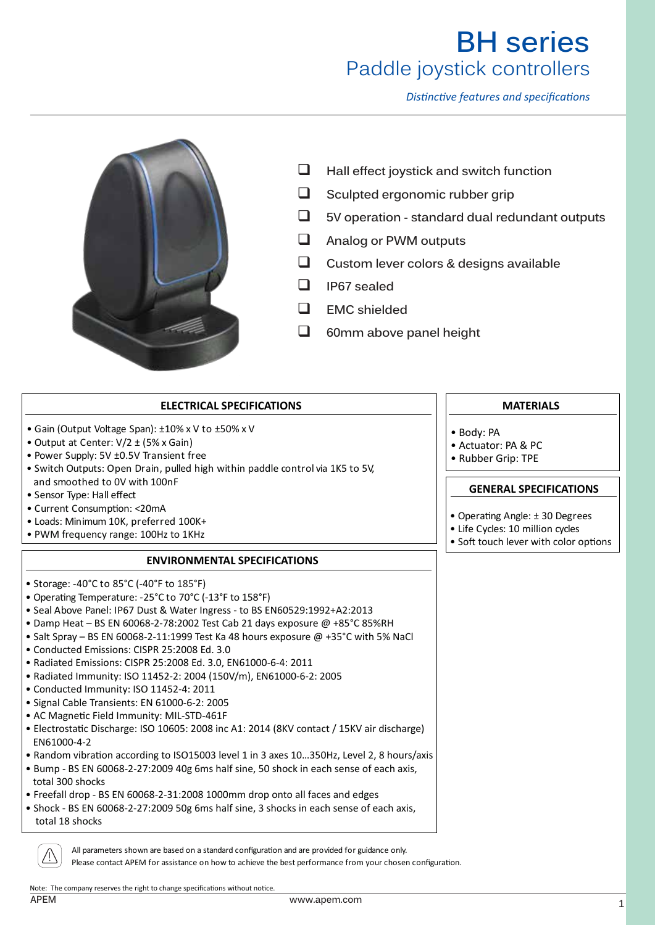*Distinctive features and specifications*



- **Hall effect joystick and switch function**
- $\Box$  Sculpted ergonomic rubber grip
- **5V operation standard dual redundant outputs**
- **Analog or PWM outputs**
- **Custom lever colors & designs available**
- **IP67 sealed**
- **EMC shielded**
- **60mm above panel height**

## **ELECTRICAL SPECIFICATIONS**

- Gain (Output Voltage Span): ±10% x V to ±50% x V
- Output at Center: V/2 ± (5% x Gain)
- Power Supply: 5V ±0.5V Transient free
- Switch Outputs: Open Drain, pulled high within paddle control via 1K5 to 5V, and smoothed to 0V with 100nF
- Sensor Type: Hall effect
- Current Consumption: <20mA
- Loads: Minimum 10K, preferred 100K+
- PWM frequency range: 100Hz to 1KHz

## **ENVIRONMENTAL SPECIFICATIONS**

- Storage: -40°C to 85°C (-40°F to 185°F)
- Operating Temperature: -25°C to 70°C (-13°F to 158°F)
- Seal Above Panel: IP67 Dust & Water Ingress to BS EN60529:1992+A2:2013
- Damp Heat BS EN 60068-2-78:2002 Test Cab 21 days exposure @ +85°C 85%RH
- Salt Spray BS EN 60068-2-11:1999 Test Ka 48 hours exposure  $@$  +35°C with 5% NaCl
- Conducted Emissions: CISPR 25:2008 Ed. 3.0
- Radiated Emissions: CISPR 25:2008 Ed. 3.0, EN61000-6-4: 2011
- Radiated Immunity: ISO 11452-2: 2004 (150V/m), EN61000-6-2: 2005
- Conducted Immunity: ISO 11452-4: 2011
- Signal Cable Transients: EN 61000-6-2: 2005
- AC Magnetic Field Immunity: MIL-STD-461F
- Electrostatic Discharge: ISO 10605: 2008 inc A1: 2014 (8KV contact / 15KV air discharge) EN61000-4-2
- Random vibration according to ISO15003 level 1 in 3 axes 10…350Hz, Level 2, 8 hours/axis
- Bump BS EN 60068-2-27:2009 40g 6ms half sine, 50 shock in each sense of each axis, total 300 shocks
- Freefall drop BS EN 60068-2-31:2008 1000mm drop onto all faces and edges
- Shock BS EN 60068-2-27:2009 50g 6ms half sine, 3 shocks in each sense of each axis, total 18 shocks

All parameters shown are based on a standard configuration and are provided for guidance only.

Please contact APEM for assistance on how to achieve the best performance from your chosen configuration.

Note: The company reserves the right to change specifications without notice.

## **MATERIALS**

- Body: PA
- Actuator: PA & PC
- Rubber Grip: TPE

## **GENERAL SPECIFICATIONS**

- Operating Angle: ± 30 Degrees
- Life Cycles: 10 million cycles
- Soft touch lever with color options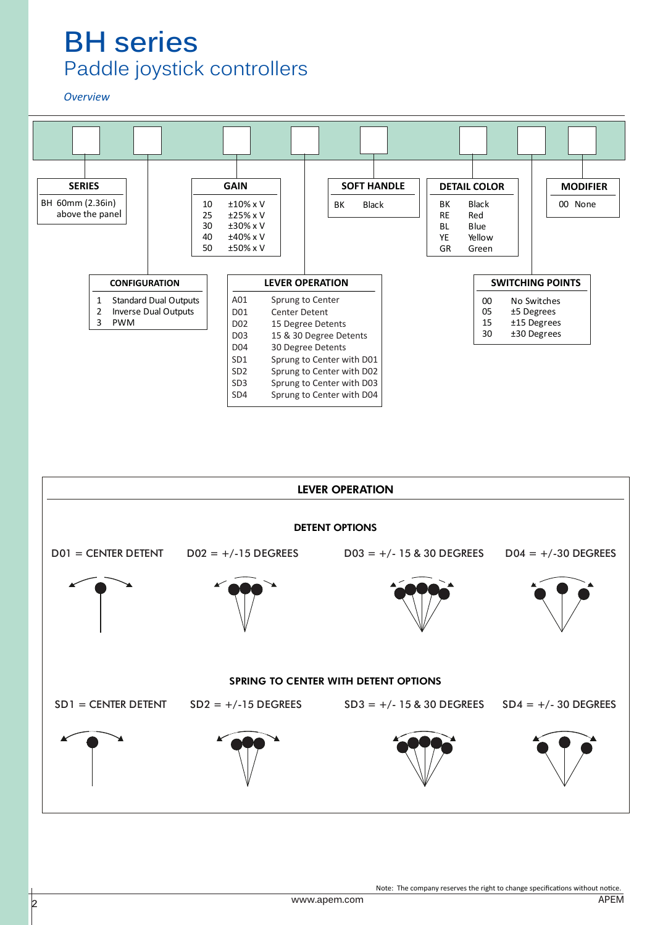### *Overview*





Note: The company reserves the right to change specifications without notice.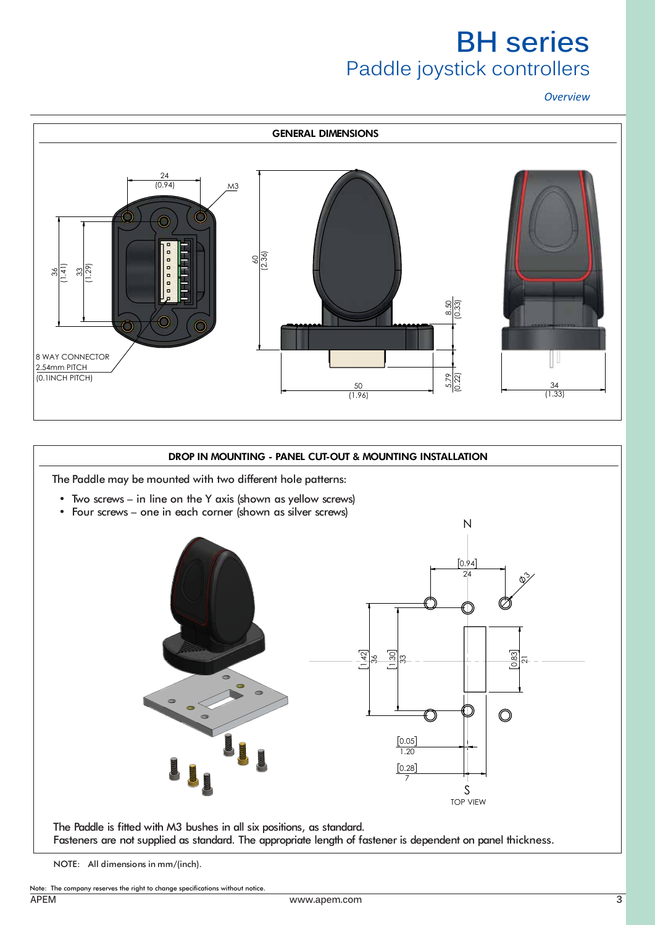*Overview*



## DROP IN MOUNTING - PANEL CUT-OUT & MOUNTING INSTALLATION

The Paddle may be mounted with two different hole patterns:

- Two screws in line on the Y axis (shown as yellow screws)
- Four screws one in each corner (shown as silver screws)



The Paddle is fitted with M3 bushes in all six positions, as standard. Fasteners are not supplied as standard. The appropriate length of fastener is dependent on panel thickness.

NOTE: All dimensions in mm/(inch).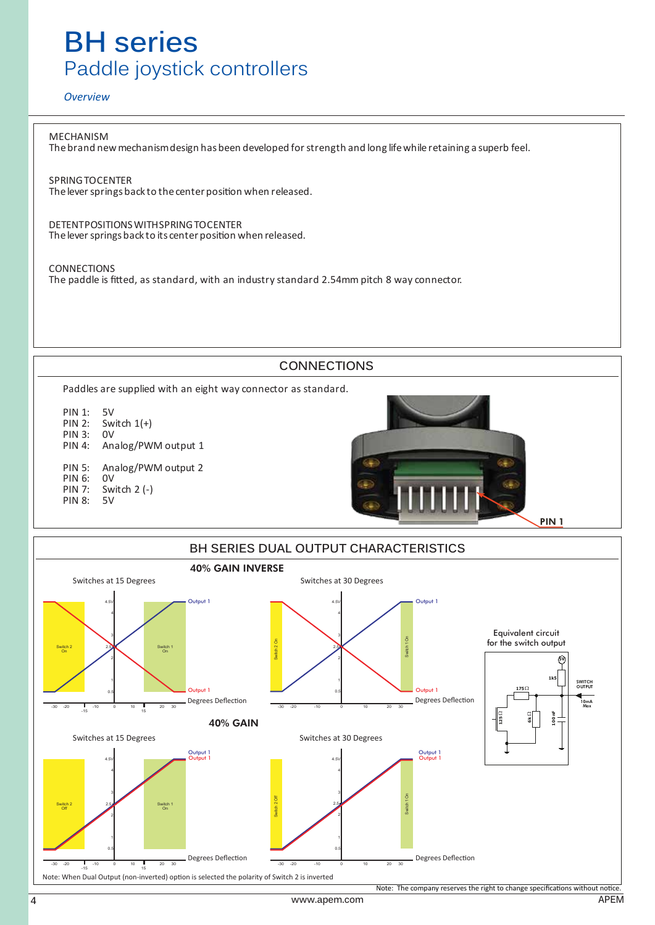### *Overview*

MECHANISM Thebrand newmechanismdesign hasbeen developed forstrength and long lifewhile retaining a superb feel.

SPRINGTOCENTER The lever springs back to the center position when released.

DETENTPOSITIONSWITHSPRINGTOCENTER The lever springs back to its center position when released.

CONNECTIONS The paddle is fitted, as standard, with an industry standard 2.54mm pitch 8 way connector.



3

Switch 1 On

4.5V 4

2

Switch 2 2.5 Off

1

-30 -20 -10 0 10 20 30 0.5 -15 15

Note: When Dual Output (non-inverted) option is selected the polarity of Switch 2 is inverted

Switch 2 Off

Switches at 15 Degrees Switches at 30 Degrees

Output 1 Output 1

Note: The company reserves the right to change specifications without notice.

4.5V 4

2

Switch 1 On

Output 1 Output 1

2.5

1

-30 -20 -10 0 10 20 30 0.5

Degrees Deflection **Degrees Deflection**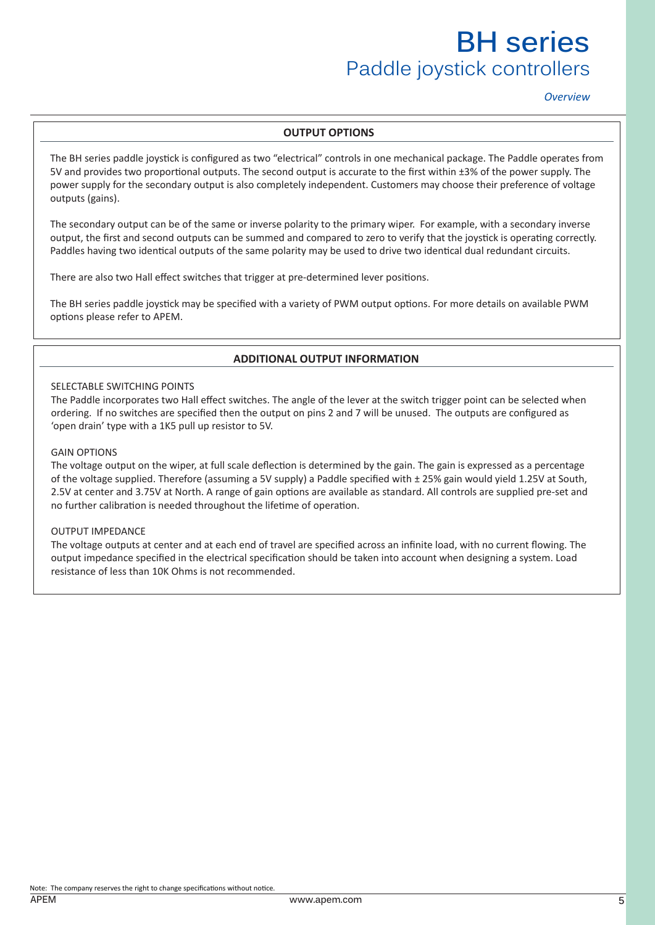## *Overview*

### **OUTPUT OPTIONS**

The BH series paddle joystick is configured as two "electrical" controls in one mechanical package. The Paddle operates from 5V and provides two proportional outputs. The second output is accurate to the first within ±3% of the power supply. The power supply for the secondary output is also completely independent. Customers may choose their preference of voltage outputs (gains).

The secondary output can be of the same or inverse polarity to the primary wiper. For example, with a secondary inverse output, the first and second outputs can be summed and compared to zero to verify that the joystick is operating correctly. Paddles having two identical outputs of the same polarity may be used to drive two identical dual redundant circuits.

There are also two Hall effect switches that trigger at pre-determined lever positions.

The BH series paddle joystick may be specified with a variety of PWM output options. For more details on available PWM options please refer to APEM.

## **ADDITIONAL OUTPUT INFORMATION**

#### SELECTABLE SWITCHING POINTS

The Paddle incorporates two Hall effect switches. The angle of the lever at the switch trigger point can be selected when ordering. If no switches are specified then the output on pins 2 and 7 will be unused. The outputs are configured as 'open drain' type with a 1K5 pull up resistor to 5V.

#### GAIN OPTIONS

The voltage output on the wiper, at full scale deflection is determined by the gain. The gain is expressed as a percentage of the voltage supplied. Therefore (assuming a 5V supply) a Paddle specified with ± 25% gain would yield 1.25V at South, 2.5V at center and 3.75V at North. A range of gain options are available as standard. All controls are supplied pre-set and no further calibration is needed throughout the lifetime of operation.

#### OUTPUT IMPEDANCE

The voltage outputs at center and at each end of travel are specified across an infinite load, with no current flowing. The output impedance specified in the electrical specification should be taken into account when designing a system. Load resistance of less than 10K Ohms is not recommended.